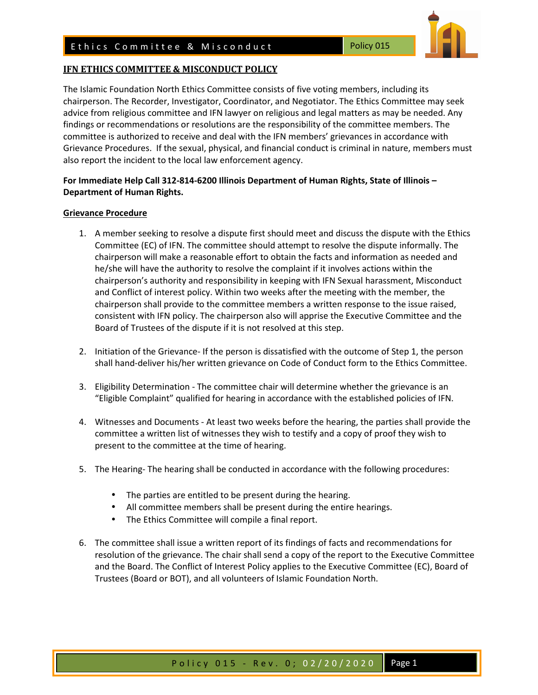## **IFN ETHICS COMMITTEE & MISCONDUCT POLICY**

The Islamic Foundation North Ethics Committee consists of five voting members, including its chairperson. The Recorder, Investigator, Coordinator, and Negotiator. The Ethics Committee may seek advice from religious committee and IFN lawyer on religious and legal matters as may be needed. Any findings or recommendations or resolutions are the responsibility of the committee members. The committee is authorized to receive and deal with the IFN members' grievances in accordance with Grievance Procedures. If the sexual, physical, and financial conduct is criminal in nature, members must also report the incident to the local law enforcement agency.

## **For Immediate Help Call 312-814-6200 Illinois Department of Human Rights, State of Illinois – Department of Human Rights.**

## **Grievance Procedure**

- 1. A member seeking to resolve a dispute first should meet and discuss the dispute with the Ethics Committee (EC) of IFN. The committee should attempt to resolve the dispute informally. The chairperson will make a reasonable effort to obtain the facts and information as needed and he/she will have the authority to resolve the complaint if it involves actions within the chairperson's authority and responsibility in keeping with IFN Sexual harassment, Misconduct and Conflict of interest policy. Within two weeks after the meeting with the member, the chairperson shall provide to the committee members a written response to the issue raised, consistent with IFN policy. The chairperson also will apprise the Executive Committee and the Board of Trustees of the dispute if it is not resolved at this step.
- 2. Initiation of the Grievance- If the person is dissatisfied with the outcome of Step 1, the person shall hand-deliver his/her written grievance on Code of Conduct form to the Ethics Committee.
- 3. Eligibility Determination The committee chair will determine whether the grievance is an "Eligible Complaint" qualified for hearing in accordance with the established policies of IFN.
- 4. Witnesses and Documents At least two weeks before the hearing, the parties shall provide the committee a written list of witnesses they wish to testify and a copy of proof they wish to present to the committee at the time of hearing.
- 5. The Hearing- The hearing shall be conducted in accordance with the following procedures:
	- The parties are entitled to be present during the hearing.
	- All committee members shall be present during the entire hearings.
	- The Ethics Committee will compile a final report.
- 6. The committee shall issue a written report of its findings of facts and recommendations for resolution of the grievance. The chair shall send a copy of the report to the Executive Committee and the Board. The Conflict of Interest Policy applies to the Executive Committee (EC), Board of Trustees (Board or BOT), and all volunteers of Islamic Foundation North.